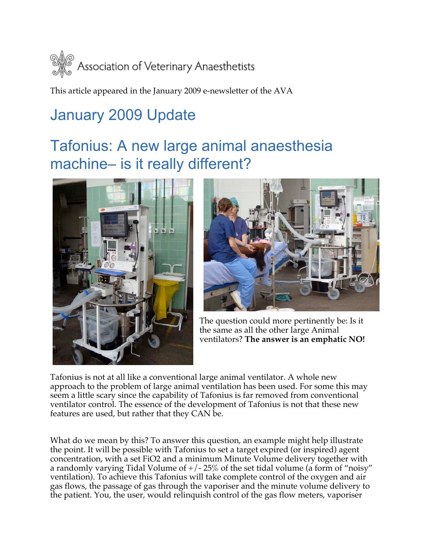

This article appeared in the January 2009 e-newsletter of the AVA

## January 2009 Update

## Tafonius: A new large animal anaesthesia machine– is it really different?





The question could more pertinently be: Is it the same as all the other large Animal ventilators? **The answer is an emphatic NO!**

Tafonius is not at all like a conventional large animal ventilator. A whole new approach to the problem of large animal ventilation has been used. For some this may seem a little scary since the capability of Tafonius is far removed from conventional ventilator control. The essence of the development of Tafonius is not that these new features are used, but rather that they CAN be.

What do we mean by this? To answer this question, an example might help illustrate the point. It will be possible with Tafonius to set a target expired (or inspired) agent concentration, with a set FiO2 and a minimum Minute Volume delivery together with a randomly varying Tidal Volume of  $+/-25\%$  of the set tidal volume (a form of "noisy" ventilation). To achieve this Tafonius will take complete control of the oxygen and air gas flows, the passage of gas through the vaporiser and the minute volume delivery to the patient. You, the user, would relinquish control of the gas flow meters, vaporiser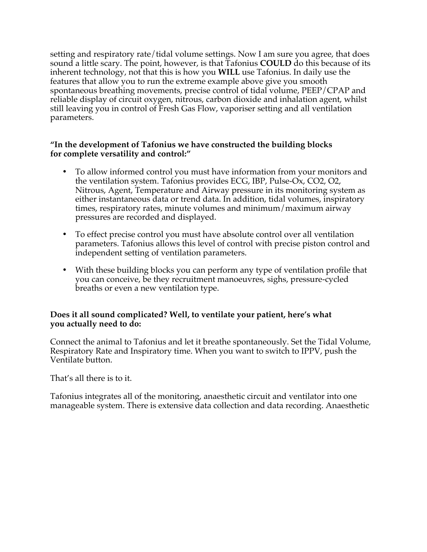setting and respiratory rate/tidal volume settings. Now I am sure you agree, that does sound a little scary. The point, however, is that Tafonius **COULD** do this because of its inherent technology, not that this is how you **WILL** use Tafonius. In daily use the features that allow you to run the extreme example above give you smooth spontaneous breathing movements, precise control of tidal volume, PEEP/CPAP and reliable display of circuit oxygen, nitrous, carbon dioxide and inhalation agent, whilst still leaving you in control of Fresh Gas Flow, vaporiser setting and all ventilation parameters.

## **"In the development of Tafonius we have constructed the building blocks for complete versatility and control:"**

- To allow informed control you must have information from your monitors and the ventilation system. Tafonius provides ECG, IBP, Pulse-Ox, CO2, O2, Nitrous, Agent, Temperature and Airway pressure in its monitoring system as either instantaneous data or trend data. In addition, tidal volumes, inspiratory times, respiratory rates, minute volumes and minimum/maximum airway pressures are recorded and displayed.
- To effect precise control you must have absolute control over all ventilation parameters. Tafonius allows this level of control with precise piston control and independent setting of ventilation parameters.
- With these building blocks you can perform any type of ventilation profile that you can conceive, be they recruitment manoeuvres, sighs, pressure-cycled breaths or even a new ventilation type.

## **Does it all sound complicated? Well, to ventilate your patient, here's what you actually need to do:**

Connect the animal to Tafonius and let it breathe spontaneously. Set the Tidal Volume, Respiratory Rate and Inspiratory time. When you want to switch to IPPV, push the Ventilate button.

That's all there is to it.

Tafonius integrates all of the monitoring, anaesthetic circuit and ventilator into one manageable system. There is extensive data collection and data recording. Anaesthetic